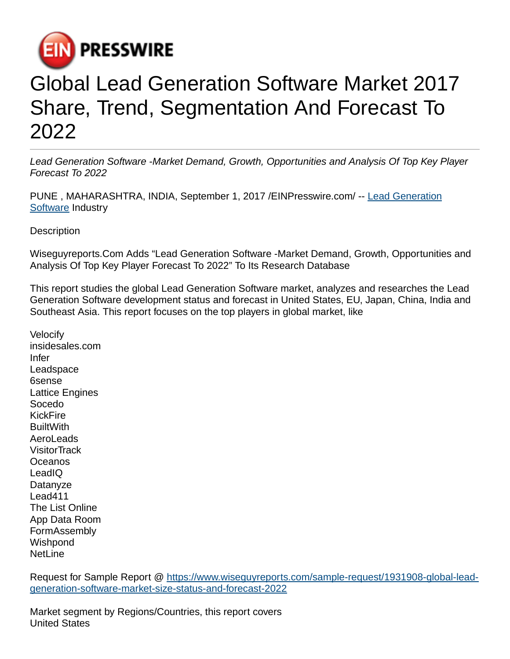

## Global Lead Generation Software Market 2017 Share, Trend, Segmentation And Forecast To 2022

Lead Generation Software -Market Demand, Growth, Opportunities and Analysis Of Top Key Player Forecast To 2022

PUNE , MAHARASHTRA, INDIA, September 1, 2017 [/EINPresswire.com/](http://www.einpresswire.com) -- [Lead Generation](https://www.wiseguyreports.com/sample-request/1931908-global-lead-generation-software-market-size-status-and-forecast-2022) [Software](https://www.wiseguyreports.com/sample-request/1931908-global-lead-generation-software-market-size-status-and-forecast-2022) Industry

**Description** 

Wiseguyreports.Com Adds "Lead Generation Software -Market Demand, Growth, Opportunities and Analysis Of Top Key Player Forecast To 2022" To Its Research Database

This report studies the global Lead Generation Software market, analyzes and researches the Lead Generation Software development status and forecast in United States, EU, Japan, China, India and Southeast Asia. This report focuses on the top players in global market, like

Velocify insidesales.com Infer Leadspace 6sense Lattice Engines Socedo KickFire **BuiltWith** AeroLeads **VisitorTrack Oceanos** LeadIQ **Datanyze** Lead411 The List Online App Data Room FormAssembly **Wishpond** NetLine

Request for Sample Report @ [https://www.wiseguyreports.com/sample-request/1931908-global-lead](https://www.wiseguyreports.com/sample-request/1931908-global-lead-generation-software-market-size-status-and-forecast-2022)[generation-software-market-size-status-and-forecast-2022](https://www.wiseguyreports.com/sample-request/1931908-global-lead-generation-software-market-size-status-and-forecast-2022)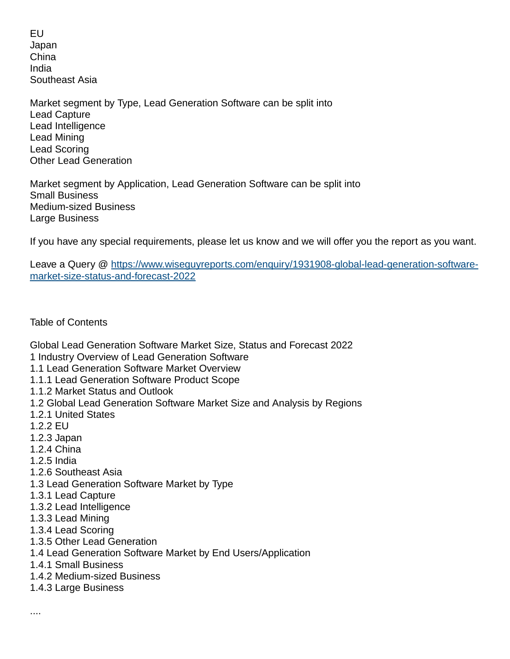EU Japan China India Southeast Asia

Market segment by Type, Lead Generation Software can be split into Lead Capture Lead Intelligence Lead Mining Lead Scoring Other Lead Generation

Market segment by Application, Lead Generation Software can be split into Small Business Medium-sized Business Large Business

If you have any special requirements, please let us know and we will offer you the report as you want.

Leave a Query @ [https://www.wiseguyreports.com/enquiry/1931908-global-lead-generation-software](https://www.wiseguyreports.com/enquiry/1931908-global-lead-generation-software-market-size-status-and-forecast-2022)[market-size-status-and-forecast-2022](https://www.wiseguyreports.com/enquiry/1931908-global-lead-generation-software-market-size-status-and-forecast-2022)

Table of Contents

Global Lead Generation Software Market Size, Status and Forecast 2022

- 1 Industry Overview of Lead Generation Software
- 1.1 Lead Generation Software Market Overview
- 1.1.1 Lead Generation Software Product Scope
- 1.1.2 Market Status and Outlook
- 1.2 Global Lead Generation Software Market Size and Analysis by Regions
- 1.2.1 United States
- 1.2.2 EU
- 1.2.3 Japan
- 1.2.4 China
- 1.2.5 India
- 1.2.6 Southeast Asia
- 1.3 Lead Generation Software Market by Type
- 1.3.1 Lead Capture
- 1.3.2 Lead Intelligence
- 1.3.3 Lead Mining
- 1.3.4 Lead Scoring
- 1.3.5 Other Lead Generation
- 1.4 Lead Generation Software Market by End Users/Application
- 1.4.1 Small Business
- 1.4.2 Medium-sized Business
- 1.4.3 Large Business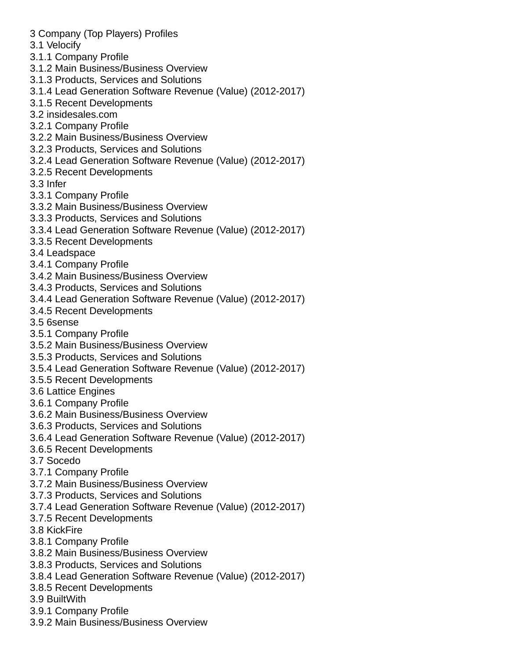- 3 Company (Top Players) Profiles
- 3.1 Velocify
- 3.1.1 Company Profile
- 3.1.2 Main Business/Business Overview
- 3.1.3 Products, Services and Solutions
- 3.1.4 Lead Generation Software Revenue (Value) (2012-2017)
- 3.1.5 Recent Developments
- 3.2 insidesales.com
- 3.2.1 Company Profile
- 3.2.2 Main Business/Business Overview
- 3.2.3 Products, Services and Solutions
- 3.2.4 Lead Generation Software Revenue (Value) (2012-2017)
- 3.2.5 Recent Developments
- 3.3 Infer
- 3.3.1 Company Profile
- 3.3.2 Main Business/Business Overview
- 3.3.3 Products, Services and Solutions
- 3.3.4 Lead Generation Software Revenue (Value) (2012-2017)
- 3.3.5 Recent Developments
- 3.4 Leadspace
- 3.4.1 Company Profile
- 3.4.2 Main Business/Business Overview
- 3.4.3 Products, Services and Solutions
- 3.4.4 Lead Generation Software Revenue (Value) (2012-2017)
- 3.4.5 Recent Developments
- 3.5 6sense
- 3.5.1 Company Profile
- 3.5.2 Main Business/Business Overview
- 3.5.3 Products, Services and Solutions
- 3.5.4 Lead Generation Software Revenue (Value) (2012-2017)
- 3.5.5 Recent Developments
- 3.6 Lattice Engines
- 3.6.1 Company Profile
- 3.6.2 Main Business/Business Overview
- 3.6.3 Products, Services and Solutions
- 3.6.4 Lead Generation Software Revenue (Value) (2012-2017)
- 3.6.5 Recent Developments
- 3.7 Socedo
- 3.7.1 Company Profile
- 3.7.2 Main Business/Business Overview
- 3.7.3 Products, Services and Solutions
- 3.7.4 Lead Generation Software Revenue (Value) (2012-2017)
- 3.7.5 Recent Developments
- 3.8 KickFire
- 3.8.1 Company Profile
- 3.8.2 Main Business/Business Overview
- 3.8.3 Products, Services and Solutions
- 3.8.4 Lead Generation Software Revenue (Value) (2012-2017)
- 3.8.5 Recent Developments
- 3.9 BuiltWith
- 3.9.1 Company Profile
- 3.9.2 Main Business/Business Overview